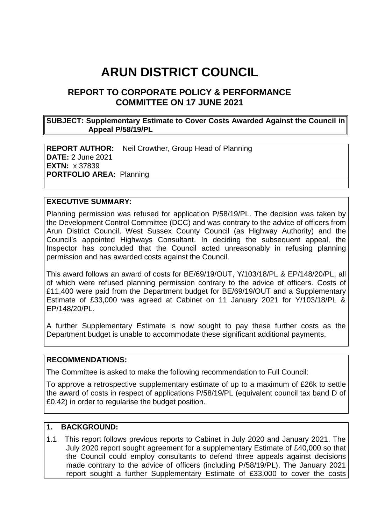# **ARUN DISTRICT COUNCIL**

# **REPORT TO CORPORATE POLICY & PERFORMANCE COMMITTEE ON 17 JUNE 2021**

#### **SUBJECT: Supplementary Estimate to Cover Costs Awarded Against the Council in Appeal P/58/19/PL**

**REPORT AUTHOR:** Neil Crowther, Group Head of Planning **DATE:** 2 June 2021 **EXTN:** x 37839 **PORTFOLIO AREA:** Planning

#### **EXECUTIVE SUMMARY:**

Planning permission was refused for application P/58/19/PL. The decision was taken by the Development Control Committee (DCC) and was contrary to the advice of officers from Arun District Council, West Sussex County Council (as Highway Authority) and the Council's appointed Highways Consultant. In deciding the subsequent appeal, the Inspector has concluded that the Council acted unreasonably in refusing planning permission and has awarded costs against the Council.

This award follows an award of costs for BE/69/19/OUT, Y/103/18/PL & EP/148/20/PL; all of which were refused planning permission contrary to the advice of officers. Costs of £11,400 were paid from the Department budget for BE/69/19/OUT and a Supplementary Estimate of £33,000 was agreed at Cabinet on 11 January 2021 for Y/103/18/PL & EP/148/20/PL.

A further Supplementary Estimate is now sought to pay these further costs as the Department budget is unable to accommodate these significant additional payments.

#### **RECOMMENDATIONS:**

The Committee is asked to make the following recommendation to Full Council:

To approve a retrospective supplementary estimate of up to a maximum of £26k to settle the award of costs in respect of applications P/58/19/PL (equivalent council tax band D of £0.42) in order to regularise the budget position.

## **1. BACKGROUND:**

1.1 This report follows previous reports to Cabinet in July 2020 and January 2021. The July 2020 report sought agreement for a supplementary Estimate of £40,000 so that the Council could employ consultants to defend three appeals against decisions made contrary to the advice of officers (including P/58/19/PL). The January 2021 report sought a further Supplementary Estimate of £33,000 to cover the costs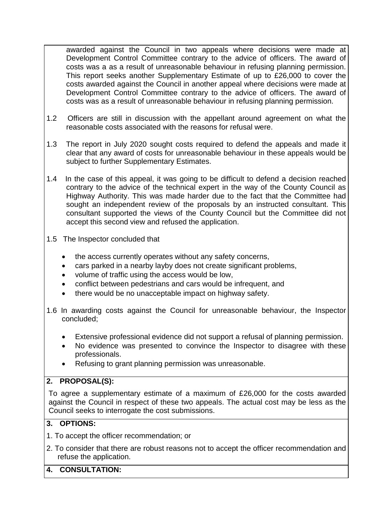awarded against the Council in two appeals where decisions were made at Development Control Committee contrary to the advice of officers. The award of costs was a as a result of unreasonable behaviour in refusing planning permission. This report seeks another Supplementary Estimate of up to £26,000 to cover the costs awarded against the Council in another appeal where decisions were made at Development Control Committee contrary to the advice of officers. The award of costs was as a result of unreasonable behaviour in refusing planning permission.

- 1.2 Officers are still in discussion with the appellant around agreement on what the reasonable costs associated with the reasons for refusal were.
- 1.3 The report in July 2020 sought costs required to defend the appeals and made it clear that any award of costs for unreasonable behaviour in these appeals would be subject to further Supplementary Estimates.
- 1.4 In the case of this appeal, it was going to be difficult to defend a decision reached contrary to the advice of the technical expert in the way of the County Council as Highway Authority. This was made harder due to the fact that the Committee had sought an independent review of the proposals by an instructed consultant. This consultant supported the views of the County Council but the Committee did not accept this second view and refused the application.
- 1.5 The Inspector concluded that
	- the access currently operates without any safety concerns,
	- cars parked in a nearby layby does not create significant problems,
	- volume of traffic using the access would be low,
	- conflict between pedestrians and cars would be infrequent, and
	- there would be no unacceptable impact on highway safety.
- 1.6 In awarding costs against the Council for unreasonable behaviour, the Inspector concluded;
	- Extensive professional evidence did not support a refusal of planning permission.
	- No evidence was presented to convince the Inspector to disagree with these professionals.
	- Refusing to grant planning permission was unreasonable.

### **2. PROPOSAL(S):**

To agree a supplementary estimate of a maximum of £26,000 for the costs awarded against the Council in respect of these two appeals. The actual cost may be less as the Council seeks to interrogate the cost submissions.

### **3. OPTIONS:**

- 1. To accept the officer recommendation; or
- 2. To consider that there are robust reasons not to accept the officer recommendation and refuse the application.

## **4. CONSULTATION:**